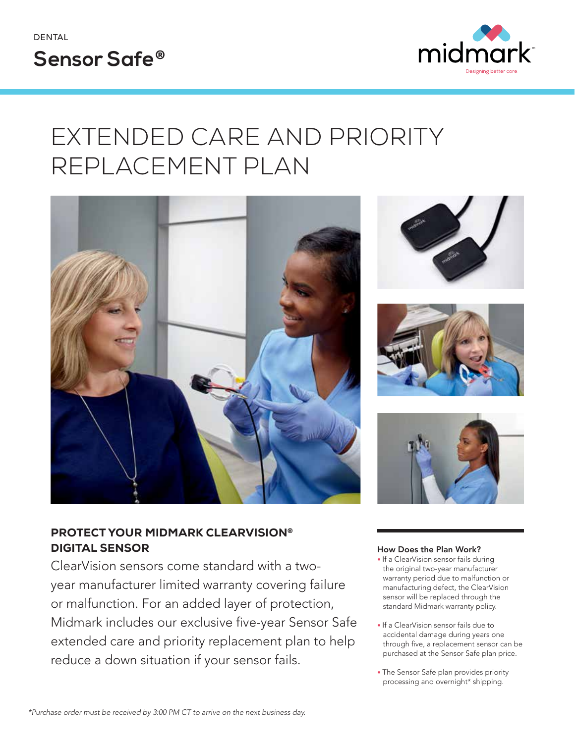



## EXTENDED CARE AND PRIORITY REPLACEMENT PLAN



### PROTECT YOUR MIDMARK CLEARVISION® DIGITAL SENSOR

ClearVision sensors come standard with a twoyear manufacturer limited warranty covering failure or malfunction. For an added layer of protection, Midmark includes our exclusive five-year Sensor Safe extended care and priority replacement plan to help reduce a down situation if your sensor fails.







#### How Does the Plan Work?

- If a ClearVision sensor fails during the original two-year manufacturer warranty period due to malfunction or manufacturing defect, the ClearVision sensor will be replaced through the standard Midmark warranty policy.
- If a ClearVision sensor fails due to accidental damage during years one through five, a replacement sensor can be purchased at the Sensor Safe plan price.
- The Sensor Safe plan provides priority processing and overnight\* shipping.